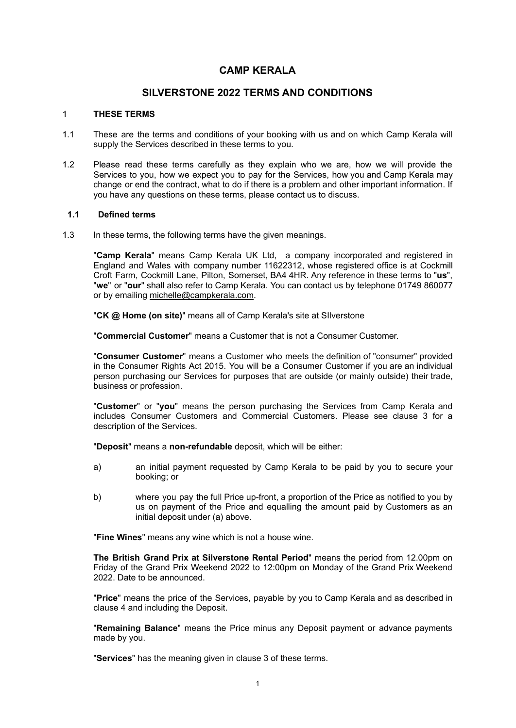# **CAMP KERALA**

# **SILVERSTONE 2022 TERMS AND CONDITIONS**

#### 1 **THESE TERMS**

- 1.1 These are the terms and conditions of your booking with us and on which Camp Kerala will supply the Services described in these terms to you.
- 1.2 Please read these terms carefully as they explain who we are, how we will provide the Services to you, how we expect you to pay for the Services, how you and Camp Kerala may change or end the contract, what to do if there is a problem and other important information. If you have any questions on these terms, please contact us to discuss.

## **1.1 Defined terms**

1.3 In these terms, the following terms have the given meanings.

"**Camp Kerala**" means Camp Kerala UK Ltd, a company incorporated and registered in England and Wales with company number 11622312, whose registered office is at Cockmill Croft Farm, Cockmill Lane, Pilton, Somerset, BA4 4HR. Any reference in these terms to "**us**", "**we**" or "**our**" shall also refer to Camp Kerala. You can contact us by telephone 01749 860077 or by emailing [michelle@campkerala.com](mailto:michelle@campkerala.com).

"**CK @ Home (on site)**" means all of Camp Kerala's site at SIlverstone

"**Commercial Customer**" means a Customer that is not a Consumer Customer.

"**Consumer Customer**" means a Customer who meets the definition of "consumer" provided in the Consumer Rights Act 2015. You will be a Consumer Customer if you are an individual person purchasing our Services for purposes that are outside (or mainly outside) their trade, business or profession.

"**Customer**" or "**you**" means the person purchasing the Services from Camp Kerala and includes Consumer Customers and Commercial Customers. Please see clause 3 for a description of the Services.

"**Deposit**" means a **non-refundable** deposit, which will be either:

- a) an initial payment requested by Camp Kerala to be paid by you to secure your booking; or
- b) where you pay the full Price up-front, a proportion of the Price as notified to you by us on payment of the Price and equalling the amount paid by Customers as an initial deposit under (a) above.

"**Fine Wines**" means any wine which is not a house wine.

**The British Grand Prix at Silverstone Rental Period**" means the period from 12.00pm on Friday of the Grand Prix Weekend 2022 to 12:00pm on Monday of the Grand Prix Weekend 2022. Date to be announced.

"**Price**" means the price of the Services, payable by you to Camp Kerala and as described in clause 4 and including the Deposit.

"**Remaining Balance**" means the Price minus any Deposit payment or advance payments made by you.

"**Services**" has the meaning given in clause 3 of these terms.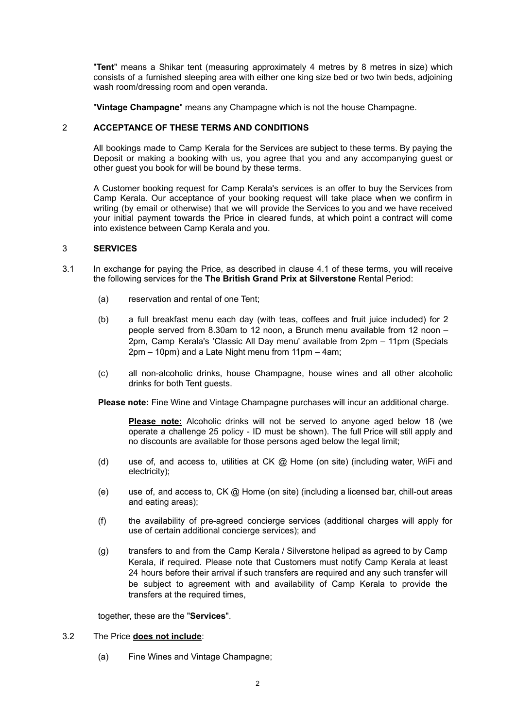"**Tent**" means a Shikar tent (measuring approximately 4 metres by 8 metres in size) which consists of a furnished sleeping area with either one king size bed or two twin beds, adjoining wash room/dressing room and open veranda.

"**Vintage Champagne**" means any Champagne which is not the house Champagne.

## 2 **ACCEPTANCE OF THESE TERMS AND CONDITIONS**

All bookings made to Camp Kerala for the Services are subject to these terms. By paying the Deposit or making a booking with us, you agree that you and any accompanying guest or other guest you book for will be bound by these terms.

A Customer booking request for Camp Kerala's services is an offer to buy the Services from Camp Kerala. Our acceptance of your booking request will take place when we confirm in writing (by email or otherwise) that we will provide the Services to you and we have received your initial payment towards the Price in cleared funds, at which point a contract will come into existence between Camp Kerala and you.

## 3 **SERVICES**

- 3.1 In exchange for paying the Price, as described in clause 4.1 of these terms, you will receive the following services for the **The British Grand Prix at Silverstone** Rental Period:
	- (a) reservation and rental of one Tent;
	- (b) a full breakfast menu each day (with teas, coffees and fruit juice included) for 2 people served from 8.30am to 12 noon, a Brunch menu available from 12 noon – 2pm, Camp Kerala's 'Classic All Day menu' available from 2pm – 11pm (Specials 2pm – 10pm) and a Late Night menu from 11pm – 4am;
	- (c) all non-alcoholic drinks, house Champagne, house wines and all other alcoholic drinks for both Tent guests.

**Please note:** Fine Wine and Vintage Champagne purchases will incur an additional charge.

**Please note:** Alcoholic drinks will not be served to anyone aged below 18 (we operate a challenge 25 policy - ID must be shown). The full Price will still apply and no discounts are available for those persons aged below the legal limit;

- (d) use of, and access to, utilities at CK  $@$  Home (on site) (including water, WiFi and electricity);
- (e) use of, and access to, CK @ Home (on site) (including a licensed bar, chill-out areas and eating areas);
- (f) the availability of pre-agreed concierge services (additional charges will apply for use of certain additional concierge services); and
- (g) transfers to and from the Camp Kerala / Silverstone helipad as agreed to by Camp Kerala, if required. Please note that Customers must notify Camp Kerala at least 24 hours before their arrival if such transfers are required and any such transfer will be subject to agreement with and availability of Camp Kerala to provide the transfers at the required times.

together, these are the "**Services**".

#### 3.2 The Price **does not include**:

(a) Fine Wines and Vintage Champagne;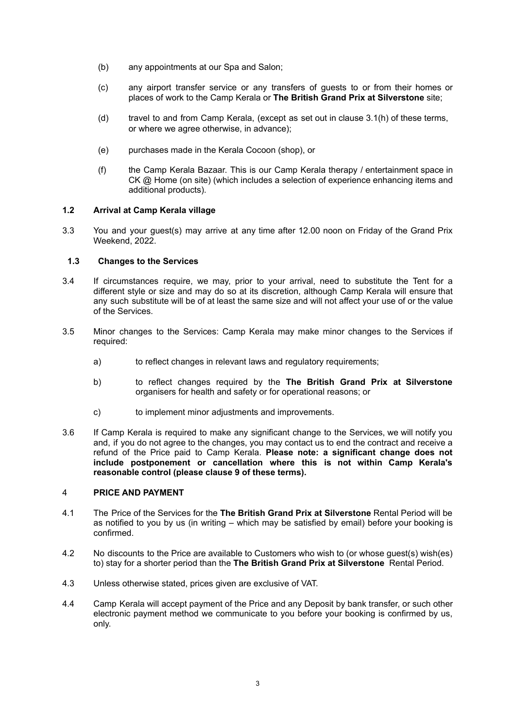- (b) any appointments at our Spa and Salon;
- (c) any airport transfer service or any transfers of guests to or from their homes or places of work to the Camp Kerala or **The British Grand Prix at Silverstone** site;
- (d) travel to and from Camp Kerala, (except as set out in clause 3.1(h) of these terms, or where we agree otherwise, in advance);
- (e) purchases made in the Kerala Cocoon (shop), or
- (f) the Camp Kerala Bazaar. This is our Camp Kerala therapy / entertainment space in CK @ Home (on site) (which includes a selection of experience enhancing items and additional products).

## **1.2 Arrival at Camp Kerala village**

3.3 You and your guest(s) may arrive at any time after 12.00 noon on Friday of the Grand Prix Weekend, 2022.

## **1.3 Changes to the Services**

- 3.4 If circumstances require, we may, prior to your arrival, need to substitute the Tent for a different style or size and may do so at its discretion, although Camp Kerala will ensure that any such substitute will be of at least the same size and will not affect your use of or the value of the Services.
- 3.5 Minor changes to the Services: Camp Kerala may make minor changes to the Services if required:
	- a) to reflect changes in relevant laws and regulatory requirements;
	- b) to reflect changes required by the **The British Grand Prix at Silverstone** organisers for health and safety or for operational reasons; or
	- c) to implement minor adjustments and improvements.
- 3.6 If Camp Kerala is required to make any significant change to the Services, we will notify you and, if you do not agree to the changes, you may contact us to end the contract and receive a refund of the Price paid to Camp Kerala. **Please note: a significant change does not include postponement or cancellation where this is not within Camp Kerala's reasonable control (please clause 9 of these terms).**

#### 4 **PRICE AND PAYMENT**

- 4.1 The Price of the Services for the **The British Grand Prix at Silverstone** Rental Period will be as notified to you by us (in writing – which may be satisfied by email) before your booking is confirmed.
- 4.2 No discounts to the Price are available to Customers who wish to (or whose guest(s) wish(es) to) stay for a shorter period than the **The British Grand Prix at Silverstone** Rental Period.
- 4.3 Unless otherwise stated, prices given are exclusive of VAT.
- 4.4 Camp Kerala will accept payment of the Price and any Deposit by bank transfer, or such other electronic payment method we communicate to you before your booking is confirmed by us, only.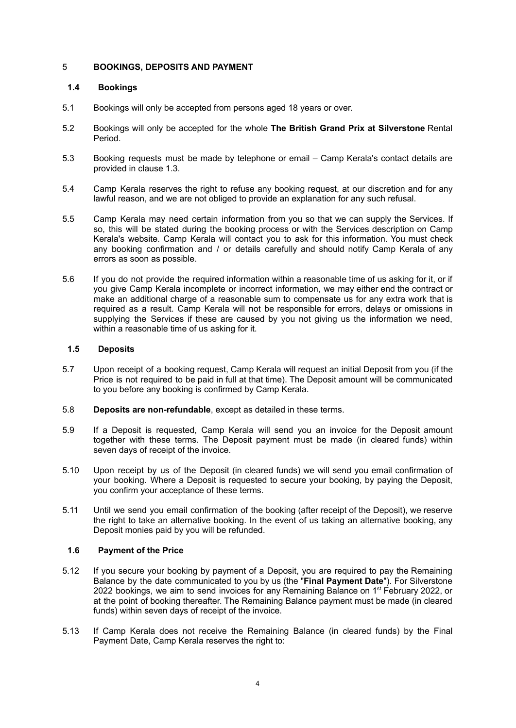## 5 **BOOKINGS, DEPOSITS AND PAYMENT**

## **1.4 Bookings**

- 5.1 Bookings will only be accepted from persons aged 18 years or over.
- 5.2 Bookings will only be accepted for the whole **The British Grand Prix at Silverstone** Rental Period.
- 5.3 Booking requests must be made by telephone or email Camp Kerala's contact details are provided in clause 1.3.
- 5.4 Camp Kerala reserves the right to refuse any booking request, at our discretion and for any lawful reason, and we are not obliged to provide an explanation for any such refusal.
- 5.5 Camp Kerala may need certain information from you so that we can supply the Services. If so, this will be stated during the booking process or with the Services description on Camp Kerala's website. Camp Kerala will contact you to ask for this information. You must check any booking confirmation and / or details carefully and should notify Camp Kerala of any errors as soon as possible.
- 5.6 If you do not provide the required information within a reasonable time of us asking for it, or if you give Camp Kerala incomplete or incorrect information, we may either end the contract or make an additional charge of a reasonable sum to compensate us for any extra work that is required as a result. Camp Kerala will not be responsible for errors, delays or omissions in supplying the Services if these are caused by you not giving us the information we need, within a reasonable time of us asking for it.

## **1.5 Deposits**

- 5.7 Upon receipt of a booking request, Camp Kerala will request an initial Deposit from you (if the Price is not required to be paid in full at that time). The Deposit amount will be communicated to you before any booking is confirmed by Camp Kerala.
- 5.8 **Deposits are non-refundable**, except as detailed in these terms.
- 5.9 If a Deposit is requested, Camp Kerala will send you an invoice for the Deposit amount together with these terms. The Deposit payment must be made (in cleared funds) within seven days of receipt of the invoice.
- 5.10 Upon receipt by us of the Deposit (in cleared funds) we will send you email confirmation of your booking. Where a Deposit is requested to secure your booking, by paying the Deposit, you confirm your acceptance of these terms.
- 5.11 Until we send you email confirmation of the booking (after receipt of the Deposit), we reserve the right to take an alternative booking. In the event of us taking an alternative booking, any Deposit monies paid by you will be refunded.

## **1.6 Payment of the Price**

- 5.12 If you secure your booking by payment of a Deposit, you are required to pay the Remaining Balance by the date communicated to you by us (the "**Final Payment Date**"). For Silverstone 2022 bookings, we aim to send invoices for any Remaining Balance on 1<sup>st</sup> February 2022, or at the point of booking thereafter. The Remaining Balance payment must be made (in cleared funds) within seven days of receipt of the invoice.
- 5.13 If Camp Kerala does not receive the Remaining Balance (in cleared funds) by the Final Payment Date, Camp Kerala reserves the right to: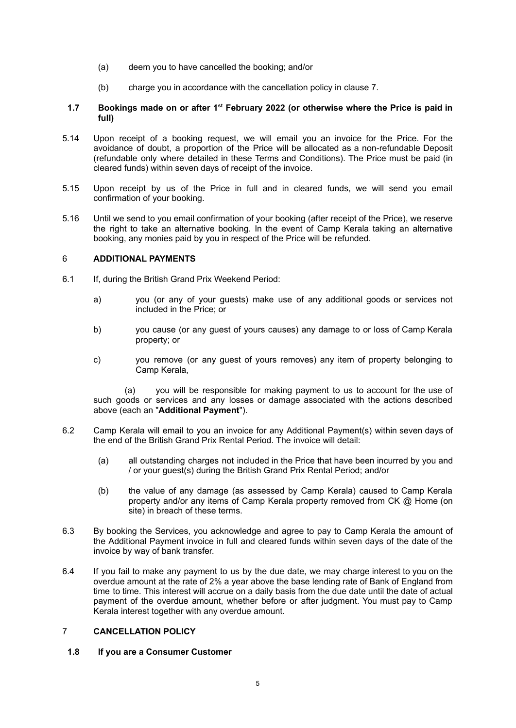- (a) deem you to have cancelled the booking; and/or
- (b) charge you in accordance with the cancellation policy in clause 7.

## **1.7 Bookings made on or after 1 st February 2022 (or otherwise where the Price is paid in full)**

- 5.14 Upon receipt of a booking request, we will email you an invoice for the Price. For the avoidance of doubt, a proportion of the Price will be allocated as a non-refundable Deposit (refundable only where detailed in these Terms and Conditions). The Price must be paid (in cleared funds) within seven days of receipt of the invoice.
- 5.15 Upon receipt by us of the Price in full and in cleared funds, we will send you email confirmation of your booking.
- 5.16 Until we send to you email confirmation of your booking (after receipt of the Price), we reserve the right to take an alternative booking. In the event of Camp Kerala taking an alternative booking, any monies paid by you in respect of the Price will be refunded.

## 6 **ADDITIONAL PAYMENTS**

- 6.1 If, during the British Grand Prix Weekend Period:
	- a) you (or any of your guests) make use of any additional goods or services not included in the Price; or
	- b) you cause (or any guest of yours causes) any damage to or loss of Camp Kerala property; or
	- c) you remove (or any guest of yours removes) any item of property belonging to Camp Kerala,

(a) you will be responsible for making payment to us to account for the use of such goods or services and any losses or damage associated with the actions described above (each an "**Additional Payment**").

- 6.2 Camp Kerala will email to you an invoice for any Additional Payment(s) within seven days of the end of the British Grand Prix Rental Period. The invoice will detail:
	- (a) all outstanding charges not included in the Price that have been incurred by you and / or your guest(s) during the British Grand Prix Rental Period; and/or
	- (b) the value of any damage (as assessed by Camp Kerala) caused to Camp Kerala property and/or any items of Camp Kerala property removed from CK @ Home (on site) in breach of these terms.
- 6.3 By booking the Services, you acknowledge and agree to pay to Camp Kerala the amount of the Additional Payment invoice in full and cleared funds within seven days of the date of the invoice by way of bank transfer.
- 6.4 If you fail to make any payment to us by the due date, we may charge interest to you on the overdue amount at the rate of 2% a year above the base lending rate of Bank of England from time to time. This interest will accrue on a daily basis from the due date until the date of actual payment of the overdue amount, whether before or after judgment. You must pay to Camp Kerala interest together with any overdue amount.

## 7 **CANCELLATION POLICY**

#### **1.8 If you are a Consumer Customer**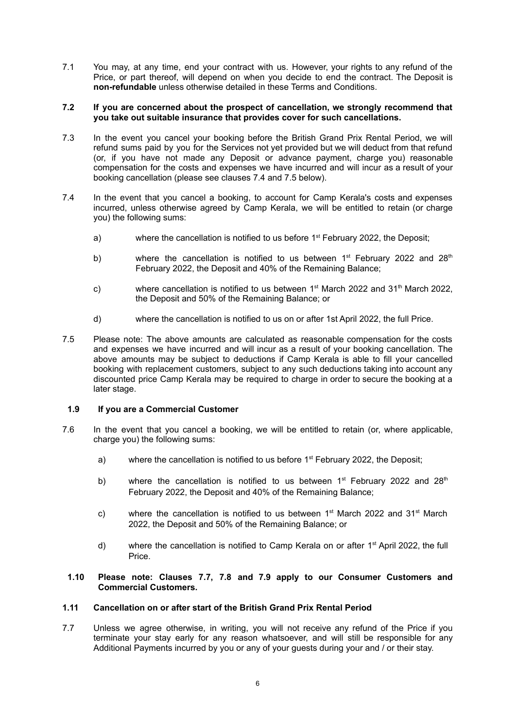7.1 You may, at any time, end your contract with us. However, your rights to any refund of the Price, or part thereof, will depend on when you decide to end the contract. The Deposit is **non-refundable** unless otherwise detailed in these Terms and Conditions.

#### **7.2 If you are concerned about the prospect of cancellation, we strongly recommend that you take out suitable insurance that provides cover for such cancellations.**

- 7.3 In the event you cancel your booking before the British Grand Prix Rental Period, we will refund sums paid by you for the Services not yet provided but we will deduct from that refund (or, if you have not made any Deposit or advance payment, charge you) reasonable compensation for the costs and expenses we have incurred and will incur as a result of your booking cancellation (please see clauses 7.4 and 7.5 below).
- 7.4 In the event that you cancel a booking, to account for Camp Kerala's costs and expenses incurred, unless otherwise agreed by Camp Kerala, we will be entitled to retain (or charge you) the following sums:
	- a) where the cancellation is notified to us before  $1<sup>st</sup>$  February 2022, the Deposit;
	- b) where the cancellation is notified to us between  $1<sup>st</sup>$  February 2022 and 28<sup>th</sup> February 2022, the Deposit and 40% of the Remaining Balance;
	- c) where cancellation is notified to us between  $1<sup>st</sup>$  March 2022 and 31<sup>th</sup> March 2022, the Deposit and 50% of the Remaining Balance; or
	- d) where the cancellation is notified to us on or after 1st April 2022, the full Price.
- 7.5 Please note: The above amounts are calculated as reasonable compensation for the costs and expenses we have incurred and will incur as a result of your booking cancellation. The above amounts may be subject to deductions if Camp Kerala is able to fill your cancelled booking with replacement customers, subject to any such deductions taking into account any discounted price Camp Kerala may be required to charge in order to secure the booking at a later stage.

#### **1.9 If you are a Commercial Customer**

- 7.6 In the event that you cancel a booking, we will be entitled to retain (or, where applicable, charge you) the following sums:
	- a) where the cancellation is notified to us before  $1<sup>st</sup>$  February 2022, the Deposit;
	- b) where the cancellation is notified to us between 1<sup>st</sup> February 2022 and 28<sup>th</sup> February 2022, the Deposit and 40% of the Remaining Balance;
	- c) where the cancellation is notified to us between  $1<sup>st</sup>$  March 2022 and 31<sup>st</sup> March 2022, the Deposit and 50% of the Remaining Balance; or
	- d) where the cancellation is notified to Camp Kerala on or after 1<sup>st</sup> April 2022, the full Price.
	- **1.10 Please note: Clauses 7.7, 7.8 and 7.9 apply to our Consumer Customers and Commercial Customers.**

#### **1.11 Cancellation on or after start of the British Grand Prix Rental Period**

7.7 Unless we agree otherwise, in writing, you will not receive any refund of the Price if you terminate your stay early for any reason whatsoever, and will still be responsible for any Additional Payments incurred by you or any of your guests during your and / or their stay.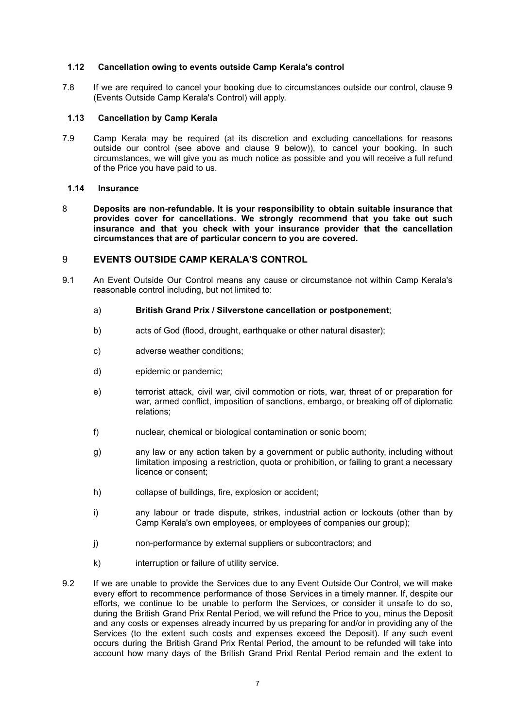## **1.12 Cancellation owing to events outside Camp Kerala's control**

7.8 If we are required to cancel your booking due to circumstances outside our control, clause 9 (Events Outside Camp Kerala's Control) will apply.

## **1.13 Cancellation by Camp Kerala**

7.9 Camp Kerala may be required (at its discretion and excluding cancellations for reasons outside our control (see above and clause 9 below)), to cancel your booking. In such circumstances, we will give you as much notice as possible and you will receive a full refund of the Price you have paid to us.

#### **1.14 Insurance**

8 **Deposits are non-refundable. It is your responsibility to obtain suitable insurance that provides cover for cancellations. We strongly recommend that you take out such insurance and that you check with your insurance provider that the cancellation circumstances that are of particular concern to you are covered.**

## 9 **EVENTS OUTSIDE CAMP KERALA'S CONTROL**

9.1 An Event Outside Our Control means any cause or circumstance not within Camp Kerala's reasonable control including, but not limited to:

## a) **British Grand Prix / Silverstone cancellation or postponement**;

- b) acts of God (flood, drought, earthquake or other natural disaster);
- c) adverse weather conditions;
- d) epidemic or pandemic;
- e) terrorist attack, civil war, civil commotion or riots, war, threat of or preparation for war, armed conflict, imposition of sanctions, embargo, or breaking off of diplomatic relations;
- f) nuclear, chemical or biological contamination or sonic boom;
- g) any law or any action taken by a government or public authority, including without limitation imposing a restriction, quota or prohibition, or failing to grant a necessary licence or consent;
- h) collapse of buildings, fire, explosion or accident;
- i) any labour or trade dispute, strikes, industrial action or lockouts (other than by Camp Kerala's own employees, or employees of companies our group);
- j) non-performance by external suppliers or subcontractors; and
- k) interruption or failure of utility service.
- 9.2 If we are unable to provide the Services due to any Event Outside Our Control, we will make every effort to recommence performance of those Services in a timely manner. If, despite our efforts, we continue to be unable to perform the Services, or consider it unsafe to do so, during the British Grand Prix Rental Period, we will refund the Price to you, minus the Deposit and any costs or expenses already incurred by us preparing for and/or in providing any of the Services (to the extent such costs and expenses exceed the Deposit). If any such event occurs during the British Grand Prix Rental Period, the amount to be refunded will take into account how many days of the British Grand Prixl Rental Period remain and the extent to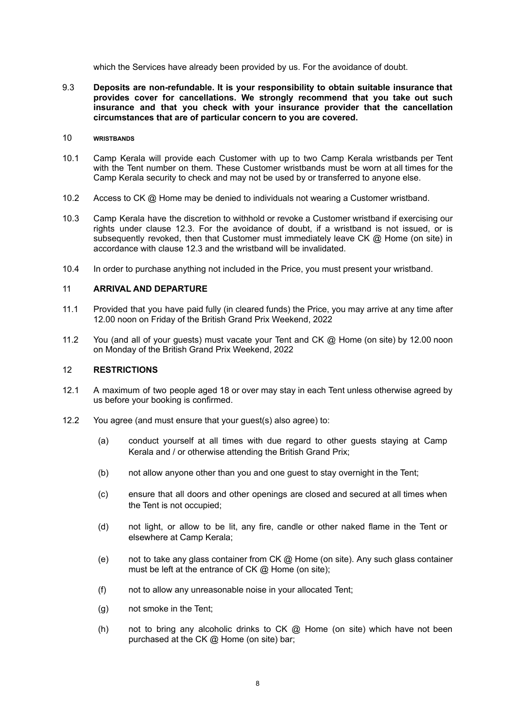which the Services have already been provided by us. For the avoidance of doubt.

9.3 **Deposits are non-refundable. It is your responsibility to obtain suitable insurance that provides cover for cancellations. We strongly recommend that you take out such insurance and that you check with your insurance provider that the cancellation circumstances that are of particular concern to you are covered.**

## 10 **WRISTBANDS**

- 10.1 Camp Kerala will provide each Customer with up to two Camp Kerala wristbands per Tent with the Tent number on them. These Customer wristbands must be worn at all times for the Camp Kerala security to check and may not be used by or transferred to anyone else.
- 10.2 Access to CK @ Home may be denied to individuals not wearing a Customer wristband.
- 10.3 Camp Kerala have the discretion to withhold or revoke a Customer wristband if exercising our rights under clause 12.3. For the avoidance of doubt, if a wristband is not issued, or is subsequently revoked, then that Customer must immediately leave CK @ Home (on site) in accordance with clause 12.3 and the wristband will be invalidated.
- 10.4 In order to purchase anything not included in the Price, you must present your wristband.

## 11 **ARRIVAL AND DEPARTURE**

- 11.1 Provided that you have paid fully (in cleared funds) the Price, you may arrive at any time after 12.00 noon on Friday of the British Grand Prix Weekend, 2022
- 11.2 You (and all of your guests) must vacate your Tent and CK @ Home (on site) by 12.00 noon on Monday of the British Grand Prix Weekend, 2022

#### 12 **RESTRICTIONS**

- 12.1 A maximum of two people aged 18 or over may stay in each Tent unless otherwise agreed by us before your booking is confirmed.
- 12.2 You agree (and must ensure that your guest(s) also agree) to:
	- (a) conduct yourself at all times with due regard to other guests staying at Camp Kerala and / or otherwise attending the British Grand Prix;
	- (b) not allow anyone other than you and one guest to stay overnight in the Tent;
	- (c) ensure that all doors and other openings are closed and secured at all times when the Tent is not occupied;
	- (d) not light, or allow to be lit, any fire, candle or other naked flame in the Tent or elsewhere at Camp Kerala;
	- (e) not to take any glass container from CK @ Home (on site). Any such glass container must be left at the entrance of CK @ Home (on site);
	- (f) not to allow any unreasonable noise in your allocated Tent;
	- (g) not smoke in the Tent;
	- (h) not to bring any alcoholic drinks to  $CK$   $@$  Home (on site) which have not been purchased at the CK @ Home (on site) bar;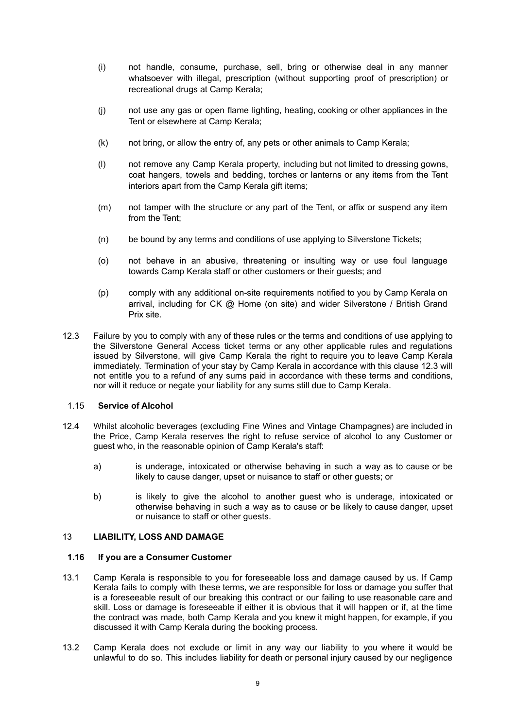- (i) not handle, consume, purchase, sell, bring or otherwise deal in any manner whatsoever with illegal, prescription (without supporting proof of prescription) or recreational drugs at Camp Kerala;
- (j) not use any gas or open flame lighting, heating, cooking or other appliances in the Tent or elsewhere at Camp Kerala;
- (k) not bring, or allow the entry of, any pets or other animals to Camp Kerala;
- (l) not remove any Camp Kerala property, including but not limited to dressing gowns, coat hangers, towels and bedding, torches or lanterns or any items from the Tent interiors apart from the Camp Kerala gift items;
- (m) not tamper with the structure or any part of the Tent, or affix or suspend any item from the Tent;
- (n) be bound by any terms and conditions of use applying to Silverstone Tickets;
- (o) not behave in an abusive, threatening or insulting way or use foul language towards Camp Kerala staff or other customers or their guests; and
- (p) comply with any additional on-site requirements notified to you by Camp Kerala on arrival, including for  $CK$   $@$  Home (on site) and wider Silverstone / British Grand Prix site.
- 12.3 Failure by you to comply with any of these rules or the terms and conditions of use applying to the Silverstone General Access ticket terms or any other applicable rules and regulations issued by Silverstone, will give Camp Kerala the right to require you to leave Camp Kerala immediately. Termination of your stay by Camp Kerala in accordance with this clause 12.3 will not entitle you to a refund of any sums paid in accordance with these terms and conditions, nor will it reduce or negate your liability for any sums still due to Camp Kerala.

## 1.15 **Service of Alcohol**

- 12.4 Whilst alcoholic beverages (excluding Fine Wines and Vintage Champagnes) are included in the Price, Camp Kerala reserves the right to refuse service of alcohol to any Customer or guest who, in the reasonable opinion of Camp Kerala's staff:
	- a) is underage, intoxicated or otherwise behaving in such a way as to cause or be likely to cause danger, upset or nuisance to staff or other guests; or
	- b) is likely to give the alcohol to another guest who is underage, intoxicated or otherwise behaving in such a way as to cause or be likely to cause danger, upset or nuisance to staff or other guests.

## 13 **LIABILITY, LOSS AND DAMAGE**

## **1.16 If you are a Consumer Customer**

- 13.1 Camp Kerala is responsible to you for foreseeable loss and damage caused by us. If Camp Kerala fails to comply with these terms, we are responsible for loss or damage you suffer that is a foreseeable result of our breaking this contract or our failing to use reasonable care and skill. Loss or damage is foreseeable if either it is obvious that it will happen or if, at the time the contract was made, both Camp Kerala and you knew it might happen, for example, if you discussed it with Camp Kerala during the booking process.
- 13.2 Camp Kerala does not exclude or limit in any way our liability to you where it would be unlawful to do so. This includes liability for death or personal injury caused by our negligence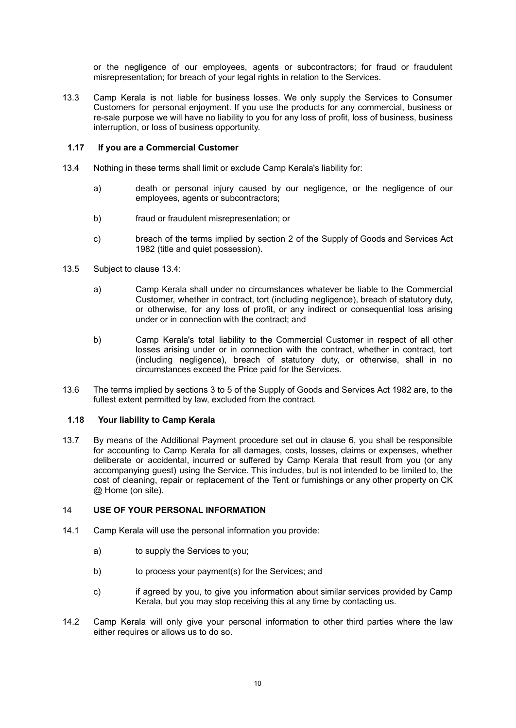or the negligence of our employees, agents or subcontractors; for fraud or fraudulent misrepresentation; for breach of your legal rights in relation to the Services.

13.3 Camp Kerala is not liable for business losses. We only supply the Services to Consumer Customers for personal enjoyment. If you use the products for any commercial, business or re-sale purpose we will have no liability to you for any loss of profit, loss of business, business interruption, or loss of business opportunity.

## **1.17 If you are a Commercial Customer**

- 13.4 Nothing in these terms shall limit or exclude Camp Kerala's liability for:
	- a) death or personal injury caused by our negligence, or the negligence of our employees, agents or subcontractors;
	- b) fraud or fraudulent misrepresentation; or
	- c) breach of the terms implied by section 2 of the Supply of Goods and Services Act 1982 (title and quiet possession).
- 13.5 Subject to clause 13.4:
	- a) Camp Kerala shall under no circumstances whatever be liable to the Commercial Customer, whether in contract, tort (including negligence), breach of statutory duty, or otherwise, for any loss of profit, or any indirect or consequential loss arising under or in connection with the contract; and
	- b) Camp Kerala's total liability to the Commercial Customer in respect of all other losses arising under or in connection with the contract, whether in contract, tort (including negligence), breach of statutory duty, or otherwise, shall in no circumstances exceed the Price paid for the Services.
- 13.6 The terms implied by sections 3 to 5 of the Supply of Goods and Services Act 1982 are, to the fullest extent permitted by law, excluded from the contract.

## **1.18 Your liability to Camp Kerala**

13.7 By means of the Additional Payment procedure set out in clause 6, you shall be responsible for accounting to Camp Kerala for all damages, costs, losses, claims or expenses, whether deliberate or accidental, incurred or suffered by Camp Kerala that result from you (or any accompanying guest) using the Service. This includes, but is not intended to be limited to, the cost of cleaning, repair or replacement of the Tent or furnishings or any other property on CK @ Home (on site).

## 14 **USE OF YOUR PERSONAL INFORMATION**

- 14.1 Camp Kerala will use the personal information you provide:
	- a) to supply the Services to you;
	- b) to process your payment(s) for the Services; and
	- c) if agreed by you, to give you information about similar services provided by Camp Kerala, but you may stop receiving this at any time by contacting us.
- 14.2 Camp Kerala will only give your personal information to other third parties where the law either requires or allows us to do so.